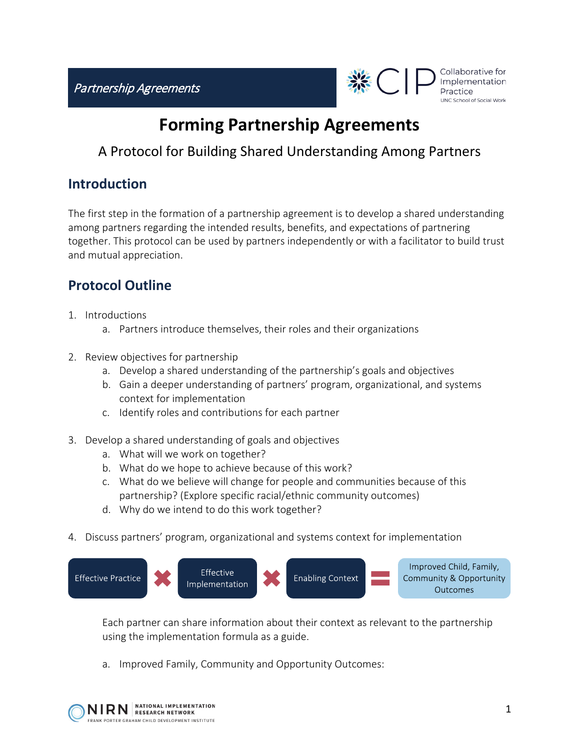Partnership Agreements



Collaborative for Implementation Practice UNC School of Social Work

## **Forming Partnership Agreements**

## A Protocol for Building Shared Understanding Among Partners

## **Introduction**

The first step in the formation of a partnership agreement is to develop a shared understanding among partners regarding the intended results, benefits, and expectations of partnering together. This protocol can be used by partners independently or with a facilitator to build trust and mutual appreciation.

## **Protocol Outline**

- 1. Introductions
	- a. Partners introduce themselves, their roles and their organizations
- 2. Review objectives for partnership
	- a. Develop a shared understanding of the partnership's goals and objectives
	- b. Gain a deeper understanding of partners' program, organizational, and systems context for implementation
	- c. Identify roles and contributions for each partner
- 3. Develop a shared understanding of goals and objectives
	- a. What will we work on together?
	- b. What do we hope to achieve because of this work?
	- c. What do we believe will change for people and communities because of this partnership? (Explore specific racial/ethnic community outcomes)
	- d. Why do we intend to do this work together?
- 4. Discuss partners' program, organizational and systems context for implementation



Each partner can share information about their context as relevant to the partnership using the implementation formula as a guide.

a. Improved Family, Community and Opportunity Outcomes: